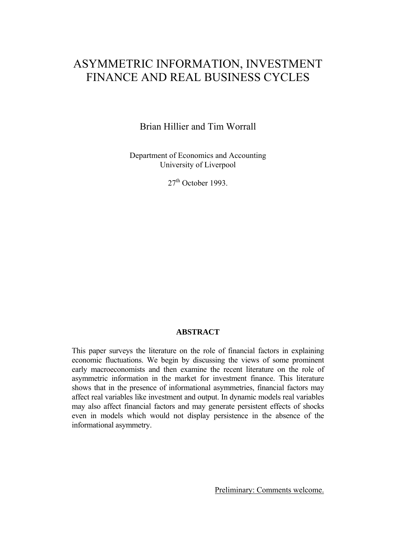# ASYMMETRIC INFORMATION, INVESTMENT FINANCE AND REAL BUSINESS CYCLES

Brian Hillier and Tim Worrall

Department of Economics and Accounting University of Liverpool

 $27<sup>th</sup>$  October 1993.

# **ABSTRACT**

This paper surveys the literature on the role of financial factors in explaining economic fluctuations. We begin by discussing the views of some prominent early macroeconomists and then examine the recent literature on the role of asymmetric information in the market for investment finance. This literature shows that in the presence of informational asymmetries, financial factors may affect real variables like investment and output. In dynamic models real variables may also affect financial factors and may generate persistent effects of shocks even in models which would not display persistence in the absence of the informational asymmetry.

Preliminary: Comments welcome.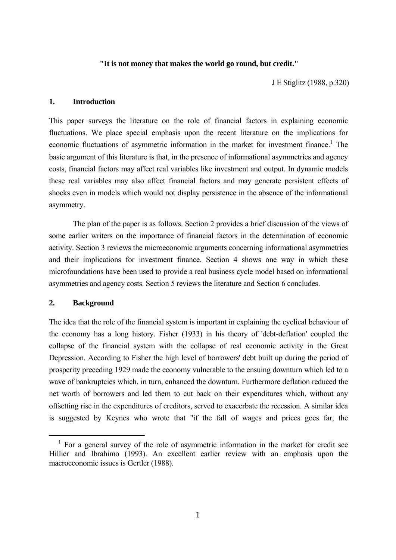**"It is not money that makes the world go round, but credit."** 

J E Stiglitz (1988, p.320)

#### **1. Introduction**

This paper surveys the literature on the role of financial factors in explaining economic fluctuations. We place special emphasis upon the recent literature on the implications for economic fluctuations of asymmetric information in the market for investment finance.<sup>1</sup> The basic argument of this literature is that, in the presence of informational asymmetries and agency costs, financial factors may affect real variables like investment and output. In dynamic models these real variables may also affect financial factors and may generate persistent effects of shocks even in models which would not display persistence in the absence of the informational asymmetry.

 The plan of the paper is as follows. Section 2 provides a brief discussion of the views of some earlier writers on the importance of financial factors in the determination of economic activity. Section 3 reviews the microeconomic arguments concerning informational asymmetries and their implications for investment finance. Section 4 shows one way in which these microfoundations have been used to provide a real business cycle model based on informational asymmetries and agency costs. Section 5 reviews the literature and Section 6 concludes.

# **2. Background**

 $\overline{a}$ 

The idea that the role of the financial system is important in explaining the cyclical behaviour of the economy has a long history. Fisher (1933) in his theory of 'debt-deflation' coupled the collapse of the financial system with the collapse of real economic activity in the Great Depression. According to Fisher the high level of borrowers' debt built up during the period of prosperity preceding 1929 made the economy vulnerable to the ensuing downturn which led to a wave of bankruptcies which, in turn, enhanced the downturn. Furthermore deflation reduced the net worth of borrowers and led them to cut back on their expenditures which, without any offsetting rise in the expenditures of creditors, served to exacerbate the recession. A similar idea is suggested by Keynes who wrote that "if the fall of wages and prices goes far, the

<sup>&</sup>lt;sup>1</sup> For a general survey of the role of asymmetric information in the market for credit see Hillier and Ibrahimo (1993). An excellent earlier review with an emphasis upon the macroeconomic issues is Gertler (1988).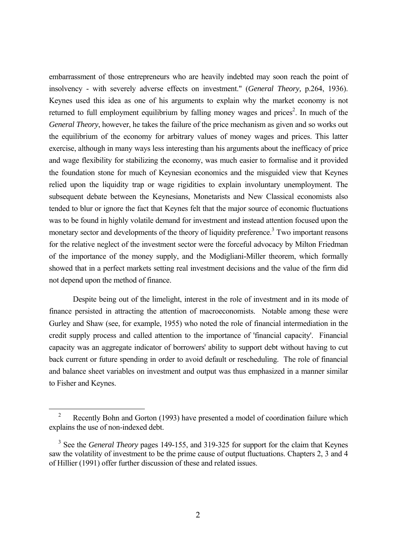embarrassment of those entrepreneurs who are heavily indebted may soon reach the point of insolvency - with severely adverse effects on investment." (*General Theory,* p.264, 1936). Keynes used this idea as one of his arguments to explain why the market economy is not returned to full employment equilibrium by falling money wages and prices<sup>2</sup>. In much of the *General Theory*, however, he takes the failure of the price mechanism as given and so works out the equilibrium of the economy for arbitrary values of money wages and prices. This latter exercise, although in many ways less interesting than his arguments about the inefficacy of price and wage flexibility for stabilizing the economy, was much easier to formalise and it provided the foundation stone for much of Keynesian economics and the misguided view that Keynes relied upon the liquidity trap or wage rigidities to explain involuntary unemployment. The subsequent debate between the Keynesians, Monetarists and New Classical economists also tended to blur or ignore the fact that Keynes felt that the major source of economic fluctuations was to be found in highly volatile demand for investment and instead attention focused upon the monetary sector and developments of the theory of liquidity preference.<sup>3</sup> Two important reasons for the relative neglect of the investment sector were the forceful advocacy by Milton Friedman of the importance of the money supply, and the Modigliani-Miller theorem, which formally showed that in a perfect markets setting real investment decisions and the value of the firm did not depend upon the method of finance.

 Despite being out of the limelight, interest in the role of investment and in its mode of finance persisted in attracting the attention of macroeconomists. Notable among these were Gurley and Shaw (see, for example, 1955) who noted the role of financial intermediation in the credit supply process and called attention to the importance of 'financial capacity'. Financial capacity was an aggregate indicator of borrowers' ability to support debt without having to cut back current or future spending in order to avoid default or rescheduling. The role of financial and balance sheet variables on investment and output was thus emphasized in a manner similar to Fisher and Keynes.

 $\overline{a}$ 

 $\mathfrak{D}$  Recently Bohn and Gorton (1993) have presented a model of coordination failure which explains the use of non-indexed debt.

<sup>&</sup>lt;sup>3</sup> See the *General Theory* pages 149-155, and 319-325 for support for the claim that Keynes saw the volatility of investment to be the prime cause of output fluctuations. Chapters 2, 3 and 4 of Hillier (1991) offer further discussion of these and related issues.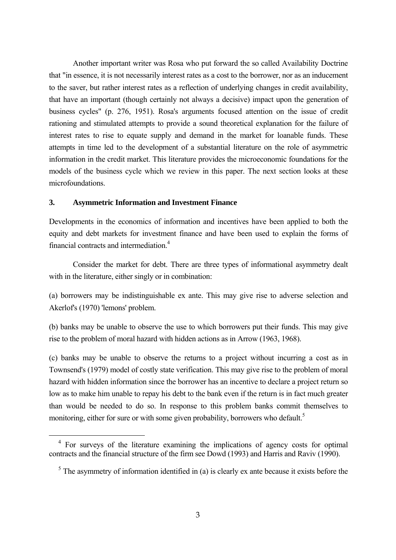Another important writer was Rosa who put forward the so called Availability Doctrine that "in essence, it is not necessarily interest rates as a cost to the borrower, nor as an inducement to the saver, but rather interest rates as a reflection of underlying changes in credit availability, that have an important (though certainly not always a decisive) impact upon the generation of business cycles" (p. 276, 1951). Rosa's arguments focused attention on the issue of credit rationing and stimulated attempts to provide a sound theoretical explanation for the failure of interest rates to rise to equate supply and demand in the market for loanable funds. These attempts in time led to the development of a substantial literature on the role of asymmetric information in the credit market. This literature provides the microeconomic foundations for the models of the business cycle which we review in this paper. The next section looks at these microfoundations.

### **3. Asymmetric Information and Investment Finance**

 $\overline{a}$ 

Developments in the economics of information and incentives have been applied to both the equity and debt markets for investment finance and have been used to explain the forms of financial contracts and intermediation.<sup>4</sup>

 Consider the market for debt. There are three types of informational asymmetry dealt with in the literature, either singly or in combination:

(a) borrowers may be indistinguishable ex ante. This may give rise to adverse selection and Akerlof's (1970) 'lemons' problem.

(b) banks may be unable to observe the use to which borrowers put their funds. This may give rise to the problem of moral hazard with hidden actions as in Arrow (1963, 1968).

(c) banks may be unable to observe the returns to a project without incurring a cost as in Townsend's (1979) model of costly state verification. This may give rise to the problem of moral hazard with hidden information since the borrower has an incentive to declare a project return so low as to make him unable to repay his debt to the bank even if the return is in fact much greater than would be needed to do so. In response to this problem banks commit themselves to monitoring, either for sure or with some given probability, borrowers who default.<sup>5</sup>

<sup>&</sup>lt;sup>4</sup> For surveys of the literature examining the implications of agency costs for optimal contracts and the financial structure of the firm see Dowd (1993) and Harris and Raviv (1990).

<sup>&</sup>lt;sup>5</sup> The asymmetry of information identified in (a) is clearly ex ante because it exists before the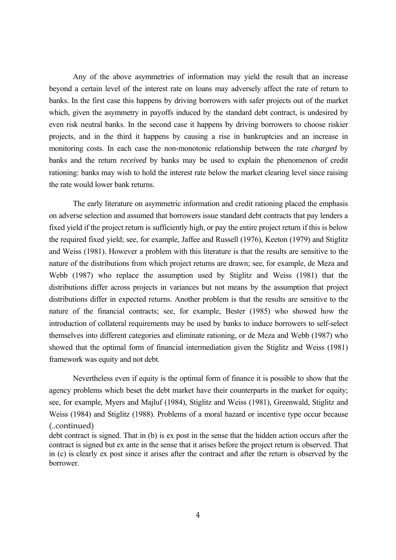Any of the above asymmetries of information may yield the result that an increase beyond a certain level of the interest rate on loans may adversely affect the rate of return to banks. In the first case this happens by driving borrowers with safer projects out of the market which, given the asymmetry in payoffs induced by the standard debt contract, is undesired by even risk neutral banks. In the second case it happens by driving borrowers to choose riskier projects, and in the third it happens by causing a rise in bankruptcies and an increase in monitoring costs. In each case the non-monotonic relationship between the rate *charged* by banks and the return *received* by banks may be used to explain the phenomenon of credit rationing: banks may wish to hold the interest rate below the market clearing level since raising the rate would lower bank returns.

 The early literature on asymmetric information and credit rationing placed the emphasis on adverse selection and assumed that borrowers issue standard debt contracts that pay lenders a fixed yield if the project return is sufficiently high, or pay the entire project return if this is below the required fixed yield; see, for example, Jaffee and Russell (1976), Keeton (1979) and Stiglitz and Weiss (1981). However a problem with this literature is that the results are sensitive to the nature of the distributions from which project returns are drawn; see, for example, de Meza and Webb (1987) who replace the assumption used by Stiglitz and Weiss (1981) that the distributions differ across projects in variances but not means by the assumption that project distributions differ in expected returns. Another problem is that the results are sensitive to the nature of the financial contracts; see, for example, Bester (1985) who showed how the introduction of collateral requirements may be used by banks to induce borrowers to self-select themselves into different categories and eliminate rationing, or de Meza and Webb (1987) who showed that the optimal form of financial intermediation given the Stiglitz and Weiss (1981) framework was equity and not debt.

 Nevertheless even if equity is the optimal form of finance it is possible to show that the agency problems which beset the debt market have their counterparts in the market for equity; see, for example, Myers and Majluf (1984), Stiglitz and Weiss (1981), Greenwald, Stiglitz and Weiss (1984) and Stiglitz (1988). Problems of a moral hazard or incentive type occur because (..continued)

debt contract is signed. That in (b) is ex post in the sense that the hidden action occurs after the contract is signed but ex ante in the sense that it arises before the project return is observed. That in (c) is clearly ex post since it arises after the contract and after the return is observed by the borrower.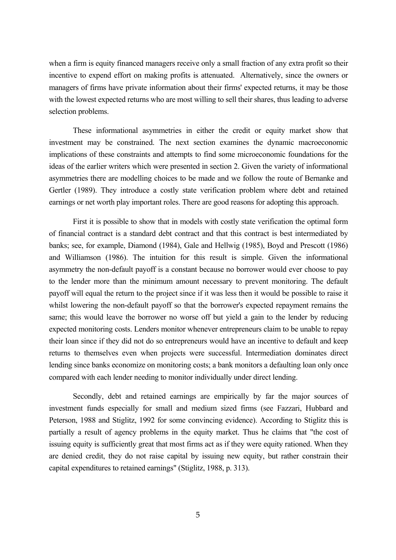when a firm is equity financed managers receive only a small fraction of any extra profit so their incentive to expend effort on making profits is attenuated. Alternatively, since the owners or managers of firms have private information about their firms' expected returns, it may be those with the lowest expected returns who are most willing to sell their shares, thus leading to adverse selection problems.

 These informational asymmetries in either the credit or equity market show that investment may be constrained. The next section examines the dynamic macroeconomic implications of these constraints and attempts to find some microeconomic foundations for the ideas of the earlier writers which were presented in section 2. Given the variety of informational asymmetries there are modelling choices to be made and we follow the route of Bernanke and Gertler (1989). They introduce a costly state verification problem where debt and retained earnings or net worth play important roles. There are good reasons for adopting this approach.

 First it is possible to show that in models with costly state verification the optimal form of financial contract is a standard debt contract and that this contract is best intermediated by banks; see, for example, Diamond (1984), Gale and Hellwig (1985), Boyd and Prescott (1986) and Williamson (1986). The intuition for this result is simple. Given the informational asymmetry the non-default payoff is a constant because no borrower would ever choose to pay to the lender more than the minimum amount necessary to prevent monitoring. The default payoff will equal the return to the project since if it was less then it would be possible to raise it whilst lowering the non-default payoff so that the borrower's expected repayment remains the same; this would leave the borrower no worse off but yield a gain to the lender by reducing expected monitoring costs. Lenders monitor whenever entrepreneurs claim to be unable to repay their loan since if they did not do so entrepreneurs would have an incentive to default and keep returns to themselves even when projects were successful. Intermediation dominates direct lending since banks economize on monitoring costs; a bank monitors a defaulting loan only once compared with each lender needing to monitor individually under direct lending.

 Secondly, debt and retained earnings are empirically by far the major sources of investment funds especially for small and medium sized firms (see Fazzari, Hubbard and Peterson, 1988 and Stiglitz, 1992 for some convincing evidence). According to Stiglitz this is partially a result of agency problems in the equity market. Thus he claims that "the cost of issuing equity is sufficiently great that most firms act as if they were equity rationed. When they are denied credit, they do not raise capital by issuing new equity, but rather constrain their capital expenditures to retained earnings" (Stiglitz, 1988, p. 313).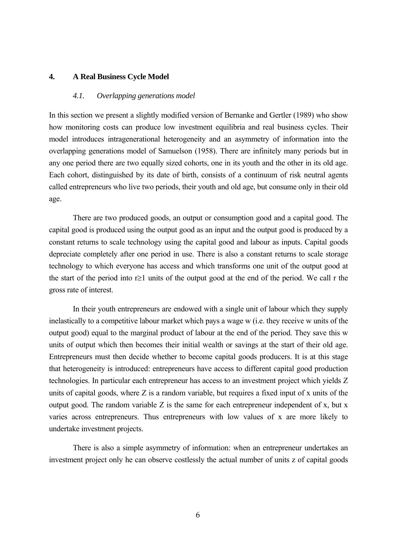#### **4. A Real Business Cycle Model**

#### *4.1. Overlapping generations model*

In this section we present a slightly modified version of Bernanke and Gertler (1989) who show how monitoring costs can produce low investment equilibria and real business cycles. Their model introduces intragenerational heterogeneity and an asymmetry of information into the overlapping generations model of Samuelson (1958). There are infinitely many periods but in any one period there are two equally sized cohorts, one in its youth and the other in its old age. Each cohort, distinguished by its date of birth, consists of a continuum of risk neutral agents called entrepreneurs who live two periods, their youth and old age, but consume only in their old age.

 There are two produced goods, an output or consumption good and a capital good. The capital good is produced using the output good as an input and the output good is produced by a constant returns to scale technology using the capital good and labour as inputs. Capital goods depreciate completely after one period in use. There is also a constant returns to scale storage technology to which everyone has access and which transforms one unit of the output good at the start of the period into r≥1 units of the output good at the end of the period. We call r the gross rate of interest.

 In their youth entrepreneurs are endowed with a single unit of labour which they supply inelastically to a competitive labour market which pays a wage w (i.e. they receive w units of the output good) equal to the marginal product of labour at the end of the period. They save this w units of output which then becomes their initial wealth or savings at the start of their old age. Entrepreneurs must then decide whether to become capital goods producers. It is at this stage that heterogeneity is introduced: entrepreneurs have access to different capital good production technologies. In particular each entrepreneur has access to an investment project which yields Z units of capital goods, where Z is a random variable, but requires a fixed input of x units of the output good. The random variable  $Z$  is the same for each entrepreneur independent of  $x$ , but  $x$ varies across entrepreneurs. Thus entrepreneurs with low values of x are more likely to undertake investment projects.

 There is also a simple asymmetry of information: when an entrepreneur undertakes an investment project only he can observe costlessly the actual number of units z of capital goods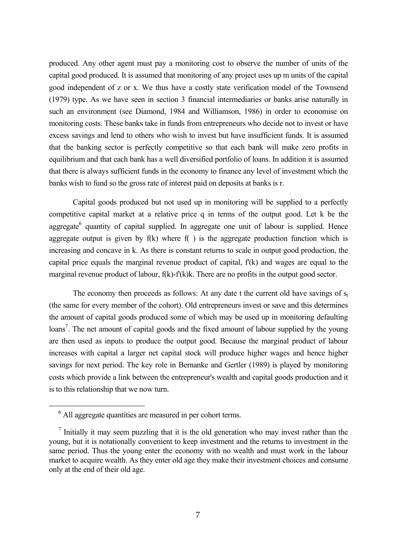produced. Any other agent must pay a monitoring cost to observe the number of units of the capital good produced. It is assumed that monitoring of any project uses up m units of the capital good independent of z or x. We thus have a costly state verification model of the Townsend (1979) type. As we have seen in section 3 financial intermediaries or banks arise naturally in such an environment (see Diamond, 1984 and Williamson, 1986) in order to economise on monitoring costs. These banks take in funds from entrepreneurs who decide not to invest or have excess savings and lend to others who wish to invest but have insufficient funds. It is assumed that the banking sector is perfectly competitive so that each bank will make zero profits in equilibrium and that each bank has a well diversified portfolio of loans. In addition it is assumed that there is always sufficient funds in the economy to finance any level of investment which the banks wish to fund so the gross rate of interest paid on deposits at banks is r.

 Capital goods produced but not used up in monitoring will be supplied to a perfectly competitive capital market at a relative price q in terms of the output good. Let k be the aggregate<sup>6</sup> quantity of capital supplied. In aggregate one unit of labour is supplied. Hence aggregate output is given by  $f(k)$  where  $f(\cdot)$  is the aggregate production function which is increasing and concave in k. As there is constant returns to scale in output good production, the capital price equals the marginal revenue product of capital, f'(k) and wages are equal to the marginal revenue product of labour,  $f(k)$ - $f'(k)$ k. There are no profits in the output good sector.

The economy then proceeds as follows: At any date t the current old have savings of  $s_t$ (the same for every member of the cohort). Old entrepreneurs invest or save and this determines the amount of capital goods produced some of which may be used up in monitoring defaulting loans<sup>7</sup>. The net amount of capital goods and the fixed amount of labour supplied by the young are then used as inputs to produce the output good. Because the marginal product of labour increases with capital a larger net capital stock will produce higher wages and hence higher savings for next period. The key role in Bernanke and Gertler (1989) is played by monitoring costs which provide a link between the entrepreneur's wealth and capital goods production and it is to this relationship that we now turn.

 $\overline{a}$ 

<sup>&</sup>lt;sup>6</sup> All aggregate quantities are measured in per cohort terms.

 $\frac{7}{1}$  Initially it may seem puzzling that it is the old generation who may invest rather than the young, but it is notationally convenient to keep investment and the returns to investment in the same period. Thus the young enter the economy with no wealth and must work in the labour market to acquire wealth. As they enter old age they make their investment choices and consume only at the end of their old age.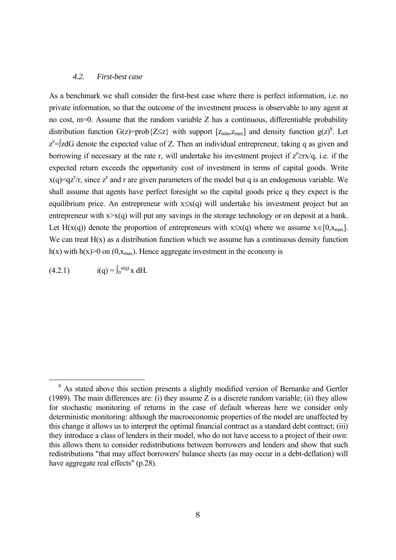#### *4.2. First-best case*

As a benchmark we shall consider the first-best case where there is perfect information, i.e. no private information, so that the outcome of the investment process is observable to any agent at no cost, m=0. Assume that the random variable Z has a continuous, differentiable probability distribution function G(z)=prob{Z $\leq$ z} with support [z<sub>min</sub>,z<sub>max</sub>] and density function g(z)<sup>8</sup>. Let  $z^{\text{e}}$ = [zdG denote the expected value of Z. Then an individual entrepreneur, taking q as given and borrowing if necessary at the rate r, will undertake his investment project if  $z^e \geq r \times /q$ , i.e. if the expected return exceeds the opportunity cost of investment in terms of capital goods. Write  $x(q) = qz^e/r$ , since  $z^e$  and r are given parameters of the model but q is an endogenous variable. We shall assume that agents have perfect foresight so the capital goods price q they expect is the equilibrium price. An entrepreneur with  $x \leq x(q)$  will undertake his investment project but an entrepreneur with  $x > x(q)$  will put any savings in the storage technology or on deposit at a bank. Let H(x(q)) denote the proportion of entrepreneurs with  $x \le x(q)$  where we assume  $x \in [0, x_{max}]$ . We can treat  $H(x)$  as a distribution function which we assume has a continuous density function h(x) with h(x) $>0$  on (0,x<sub>max</sub>). Hence aggregate investment in the economy is

 $(i4.2.1)$   $i(q) = \int_0^{x(q)} x \, dH.$ 

 $\overline{a}$ 

<sup>&</sup>lt;sup>8</sup> As stated above this section presents a slightly modified version of Bernanke and Gertler (1989). The main differences are: (i) they assume Z is a discrete random variable; (ii) they allow for stochastic monitoring of returns in the case of default whereas here we consider only deterministic monitoring: although the macroeconomic properties of the model are unaffected by this change it allows us to interpret the optimal financial contract as a standard debt contract; (iii) they introduce a class of lenders in their model, who do not have access to a project of their own: this allows them to consider redistributions between borrowers and lenders and show that such redistributions "that may affect borrowers' balance sheets (as may occur in a debt-deflation) will have aggregate real effects" (p.28).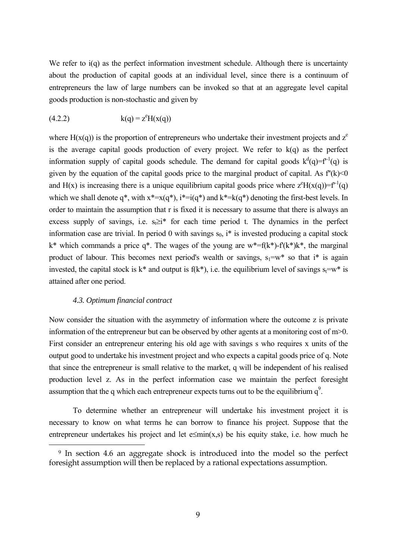We refer to  $i(q)$  as the perfect information investment schedule. Although there is uncertainty about the production of capital goods at an individual level, since there is a continuum of entrepreneurs the law of large numbers can be invoked so that at an aggregate level capital goods production is non-stochastic and given by

$$
(4.2.2) \t\t k(q) = zeH(x(q))
$$

where  $H(x(q))$  is the proportion of entrepreneurs who undertake their investment projects and  $z^e$ is the average capital goods production of every project. We refer to k(q) as the perfect information supply of capital goods schedule. The demand for capital goods  $k^d(q)=f^{-1}(q)$  is given by the equation of the capital goods price to the marginal product of capital. As  $f'(k) < 0$ and H(x) is increasing there is a unique equilibrium capital goods price where  $z^{\text{e}}H(x(q))=f^{-1}(q)$ which we shall denote  $q^*$ , with  $x^* = x(q^*)$ ,  $i^* = i(q^*)$  and  $k^* = k(q^*)$  denoting the first-best levels. In order to maintain the assumption that r is fixed it is necessary to assume that there is always an excess supply of savings, i.e.  $s<sub>i</sub> \ge i^*$  for each time period t. The dynamics in the perfectinformation case are trivial. In period 0 with savings  $s_0$ , i<sup>\*</sup> is invested producing a capital stock  $k^*$  which commands a price q<sup>\*</sup>. The wages of the young are  $w^* = f(k^*) - f(k^*)k^*$ , the marginal product of labour. This becomes next period's wealth or savings,  $s_1 = w^*$  so that i<sup>\*</sup> is again invested, the capital stock is  $k^*$  and output is  $f(k^*)$ , i.e. the equilibrium level of savings  $s_f=w^*$  is attained after one period.

#### *4.3. Optimum financial contract*

 $\overline{a}$ 

Now consider the situation with the asymmetry of information where the outcome z is private information of the entrepreneur but can be observed by other agents at a monitoring cost of  $m>0$ . First consider an entrepreneur entering his old age with savings s who requires x units of the output good to undertake his investment project and who expects a capital goods price of q. Note that since the entrepreneur is small relative to the market, q will be independent of his realised production level z. As in the perfect information case we maintain the perfect foresight assumption that the q which each entrepreneur expects turns out to be the equilibrium  $q^9$ .

 To determine whether an entrepreneur will undertake his investment project it is necessary to know on what terms he can borrow to finance his project. Suppose that the entrepreneur undertakes his project and let e≤min(x,s) be his equity stake, i.e. how much he

 <sup>9</sup> In section 4.6 an aggregate shock is introduced into the model so the perfect foresight assumption will then be replaced by a rational expectations assumption.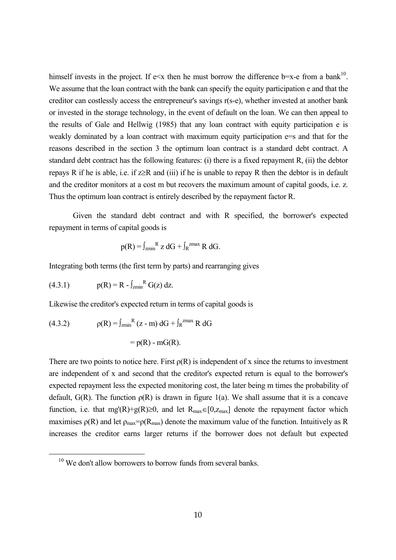himself invests in the project. If  $e \le x$  then he must borrow the difference b=x-e from a bank<sup>10</sup>. We assume that the loan contract with the bank can specify the equity participation e and that the creditor can costlessly access the entrepreneur's savings r(s-e), whether invested at another bank or invested in the storage technology, in the event of default on the loan. We can then appeal to the results of Gale and Hellwig (1985) that any loan contract with equity participation e is weakly dominated by a loan contract with maximum equity participation e=s and that for the reasons described in the section 3 the optimum loan contract is a standard debt contract. A standard debt contract has the following features: (i) there is a fixed repayment R, (ii) the debtor repays R if he is able, i.e. if  $z\geq R$  and (iii) if he is unable to repay R then the debtor is in default and the creditor monitors at a cost m but recovers the maximum amount of capital goods, i.e. z. Thus the optimum loan contract is entirely described by the repayment factor R.

 Given the standard debt contract and with R specified, the borrower's expected repayment in terms of capital goods is

$$
p(R) = \int_{zmin}^{R} z dG + \int_{R}^{zmax} R dG.
$$

Integrating both terms (the first term by parts) and rearranging gives

(4.3.1) 
$$
p(R) = R - \int_{zmin}^{R} G(z) dz.
$$

 $\overline{a}$ 

Likewise the creditor's expected return in terms of capital goods is

(4.3.2) 
$$
\rho(R) = \int_{zmin}^{R} (z - m) dG + \int_{R}^{zmax} R dG
$$

$$
= p(R) - mG(R).
$$

There are two points to notice here. First  $\rho(R)$  is independent of x since the returns to investment are independent of x and second that the creditor's expected return is equal to the borrower's expected repayment less the expected monitoring cost, the later being m times the probability of default,  $G(R)$ . The function  $p(R)$  is drawn in figure 1(a). We shall assume that it is a concave function, i.e. that mg'(R)+g(R)≥0, and let  $R_{max} \in [0, z_{max}]$  denote the repayment factor which maximises  $\rho(R)$  and let  $\rho_{\text{max}} = \rho(R_{\text{max}})$  denote the maximum value of the function. Intuitively as R increases the creditor earns larger returns if the borrower does not default but expected

<sup>&</sup>lt;sup>10</sup> We don't allow borrowers to borrow funds from several banks.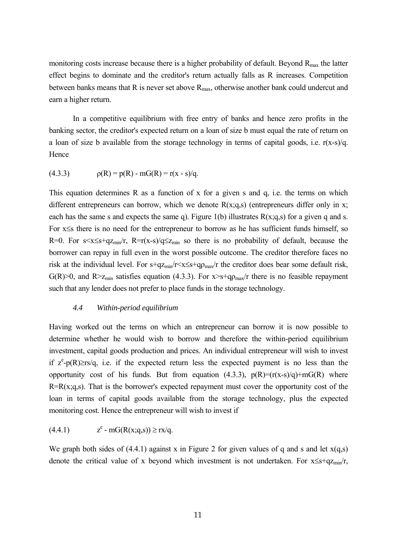monitoring costs increase because there is a higher probability of default. Beyond  $R_{\text{max}}$  the latter effect begins to dominate and the creditor's return actually falls as R increases. Competition between banks means that R is never set above  $R_{\text{max}}$ , otherwise another bank could undercut and earn a higher return.

 In a competitive equilibrium with free entry of banks and hence zero profits in the banking sector, the creditor's expected return on a loan of size b must equal the rate of return on a loan of size b available from the storage technology in terms of capital goods, i.e. r(x-s)/q. Hence

(4.3.3) 
$$
\rho(R) = p(R) - mG(R) = r(x - s)/q.
$$

This equation determines R as a function of x for a given s and q, i.e. the terms on which different entrepreneurs can borrow, which we denote  $R(x;q,s)$  (entrepreneurs differ only in x; each has the same s and expects the same q). Figure 1(b) illustrates  $R(x;q,s)$  for a given q and s. For x≤s there is no need for the entrepreneur to borrow as he has sufficient funds himself, so R=0. For s<x≤s+qz<sub>min</sub>/r, R=r(x-s)/q≤z<sub>min</sub> so there is no probability of default, because the borrower can repay in full even in the worst possible outcome. The creditor therefore faces no risk at the individual level. For s+qz<sub>min</sub>/r  $\leq$  s+q $\rho_{\text{max}}$ /r the creditor does bear some default risk, G(R) $>0$ , and R $>z_{min}$  satisfies equation (4.3.3). For x $>s+q\rho_{max}/r$  there is no feasible repayment such that any lender does not prefer to place funds in the storage technology.

#### *4.4 Within-period equilibrium*

Having worked out the terms on which an entrepreneur can borrow it is now possible to determine whether he would wish to borrow and therefore the within-period equilibrium investment, capital goods production and prices. An individual entrepreneur will wish to invest if  $z^e$ -p(R)≥rs/q, i.e. if the expected return less the expected payment is no less than the opportunity cost of his funds. But from equation  $(4.3.3)$ ,  $p(R)=(r(x-s)/q)+mG(R)$  where  $R=R(x;q,s)$ . That is the borrower's expected repayment must cover the opportunity cost of the loan in terms of capital goods available from the storage technology, plus the expected monitoring cost. Hence the entrepreneur will wish to invest if

#### $(4.4.1)$  $z^{e}$  - mG(R(x;q,s))  $\geq$  rx/q.

We graph both sides of  $(4.4.1)$  against x in Figure 2 for given values of q and s and let  $x(q,s)$ denote the critical value of x beyond which investment is not undertaken. For  $x \leq s+qz_{\text{min}}/r$ ,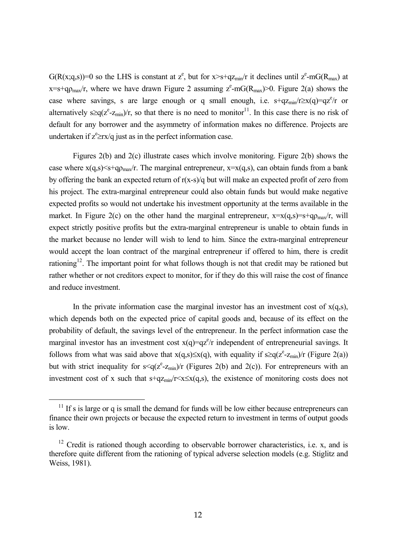$G(R(x;q,s))=0$  so the LHS is constant at  $z^e$ , but for  $x>s+qz_{min}/r$  it declines until  $z^e$ -m $G(R_{max})$  at  $x=s+q\rho_{max}/r$ , where we have drawn Figure 2 assuming  $z^{\text{e}}$ -mG( $R_{max}$ )>0. Figure 2(a) shows the case where savings, s are large enough or q small enough, i.e. s+qz<sub>min</sub>/r≥x(q)=qz<sup>e</sup>/r or alternatively  $s \ge q(z^e - z_{min})/r$ , so that there is no need to monitor<sup>11</sup>. In this case there is no risk of default for any borrower and the asymmetry of information makes no difference. Projects are undertaken if  $z^e \geq r \times /q$  just as in the perfect information case.

 Figures 2(b) and 2(c) illustrate cases which involve monitoring. Figure 2(b) shows the case where  $x(q,s) \leq s + q \rho_{max}/r$ . The marginal entrepreneur,  $x=x(q,s)$ , can obtain funds from a bank by offering the bank an expected return of  $r(x-s)/q$  but will make an expected profit of zero from his project. The extra-marginal entrepreneur could also obtain funds but would make negative expected profits so would not undertake his investment opportunity at the terms available in the market. In Figure 2(c) on the other hand the marginal entrepreneur,  $x=x(q,s)=s+qp_{max}/r$ , will expect strictly positive profits but the extra-marginal entrepreneur is unable to obtain funds in the market because no lender will wish to lend to him. Since the extra-marginal entrepreneur would accept the loan contract of the marginal entrepreneur if offered to him, there is credit rationing<sup>12</sup>. The important point for what follows though is not that credit may be rationed but rather whether or not creditors expect to monitor, for if they do this will raise the cost of finance and reduce investment.

In the private information case the marginal investor has an investment cost of  $x(q,s)$ , which depends both on the expected price of capital goods and, because of its effect on the probability of default, the savings level of the entrepreneur. In the perfect information case the marginal investor has an investment cost  $x(q) = qz^e/r$  independent of entrepreneurial savings. It follows from what was said above that  $x(q,s) \leq x(q)$ , with equality if  $s \geq q(z^e - z_{min})/r$  (Figure 2(a)) but with strict inequality for  $s < q(z^e-z_{min})/r$  (Figures 2(b) and 2(c)). For entrepreneurs with an investment cost of x such that  $s+qz_{\text{min}}/r \le x \le x(q,s)$ , the existence of monitoring costs does not

 $\overline{a}$ 

 $11$  If s is large or q is small the demand for funds will be low either because entrepreneurs can finance their own projects or because the expected return to investment in terms of output goods is low.

 $12$  Credit is rationed though according to observable borrower characteristics, i.e. x, and is therefore quite different from the rationing of typical adverse selection models (e.g. Stiglitz and Weiss, 1981).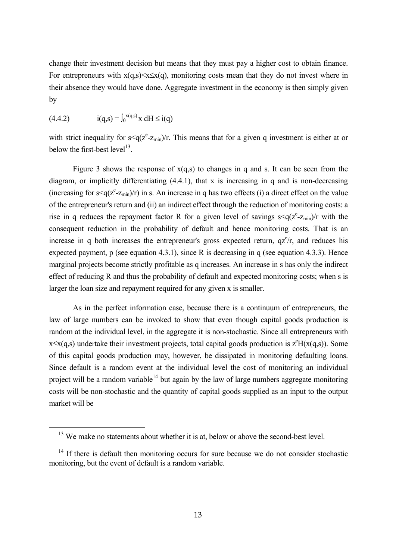change their investment decision but means that they must pay a higher cost to obtain finance. For entrepreneurs with  $x(q,s) \le x \le x(q)$ , monitoring costs mean that they do not invest where in their absence they would have done. Aggregate investment in the economy is then simply given by

$$
(4.4.2) \t\t i(q,s) = \int_0^{x(q,s)} x \, dH \le i(q)
$$

 $\overline{a}$ 

with strict inequality for  $s < q(z^e-z_{min})/r$ . This means that for a given q investment is either at or below the first-best level<sup>13</sup>

Figure 3 shows the response of  $x(q,s)$  to changes in q and s. It can be seen from the diagram, or implicitly differentiating (4.4.1), that x is increasing in q and is non-decreasing (increasing for  $s < q(z^e-z_{min})/r$ ) in s. An increase in q has two effects (i) a direct effect on the value of the entrepreneur's return and (ii) an indirect effect through the reduction of monitoring costs: a rise in q reduces the repayment factor R for a given level of savings  $s < q(z^e-z_{min})/r$  with the consequent reduction in the probability of default and hence monitoring costs. That is an increase in q both increases the entrepreneur's gross expected return,  $qz^{\circ}/r$ , and reduces his expected payment, p (see equation 4.3.1), since R is decreasing in q (see equation 4.3.3). Hence marginal projects become strictly profitable as q increases. An increase in s has only the indirect effect of reducing R and thus the probability of default and expected monitoring costs; when s is larger the loan size and repayment required for any given x is smaller.

 As in the perfect information case, because there is a continuum of entrepreneurs, the law of large numbers can be invoked to show that even though capital goods production is random at the individual level, in the aggregate it is non-stochastic. Since all entrepreneurs with  $x \leq x(q,s)$  undertake their investment projects, total capital goods production is  $z^eH(x(q,s))$ . Some of this capital goods production may, however, be dissipated in monitoring defaulting loans. Since default is a random event at the individual level the cost of monitoring an individual project will be a random variable<sup>14</sup> but again by the law of large numbers aggregate monitoring costs will be non-stochastic and the quantity of capital goods supplied as an input to the output market will be

<sup>&</sup>lt;sup>13</sup> We make no statements about whether it is at, below or above the second-best level.

 $14$  If there is default then monitoring occurs for sure because we do not consider stochastic monitoring, but the event of default is a random variable.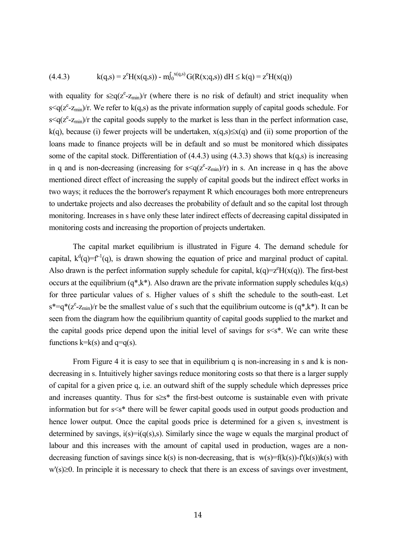(4.4.3) 
$$
k(q,s) = z^{e}H(x(q,s)) - m \int_0^{x(q,s)} G(R(x;q,s)) dH \le k(q) = z^{e}H(x(q))
$$

with equality for  $s \geq q(z^e-z_{min})/r$  (where there is no risk of default) and strict inequality when  $s < q(z^e-z_{min})/r$ . We refer to  $k(q,s)$  as the private information supply of capital goods schedule. For  $s < q(z^e-z_{min})/r$  the capital goods supply to the market is less than in the perfect information case, k(q), because (i) fewer projects will be undertaken,  $x(q,s) \leq x(q)$  and (ii) some proportion of the loans made to finance projects will be in default and so must be monitored which dissipates some of the capital stock. Differentiation of  $(4.4.3)$  using  $(4.3.3)$  shows that k $(q,s)$  is increasing in q and is non-decreasing (increasing for  $s < q(z^e-z_{min})/r$ ) in s. An increase in q has the above mentioned direct effect of increasing the supply of capital goods but the indirect effect works in two ways; it reduces the the borrower's repayment R which encourages both more entrepreneurs to undertake projects and also decreases the probability of default and so the capital lost through monitoring. Increases in s have only these later indirect effects of decreasing capital dissipated in monitoring costs and increasing the proportion of projects undertaken.

 The capital market equilibrium is illustrated in Figure 4. The demand schedule for capital,  $k^{d}(q)=f^{-1}(q)$ , is drawn showing the equation of price and marginal product of capital. Also drawn is the perfect information supply schedule for capital,  $k(q)=z^eH(x(q))$ . The first-best occurs at the equilibrium  $(q^*, k^*)$ . Also drawn are the private information supply schedules  $k(q,s)$ for three particular values of s. Higher values of s shift the schedule to the south-east. Let  $s^* = q^*(z^e - z_{min})/r$  be the smallest value of s such that the equilibrium outcome is  $(q^*, k^*)$ . It can be seen from the diagram how the equilibrium quantity of capital goods supplied to the market and the capital goods price depend upon the initial level of savings for  $s \leq s^*$ . We can write these functions  $k=k(s)$  and  $q=q(s)$ .

 From Figure 4 it is easy to see that in equilibrium q is non-increasing in s and k is nondecreasing in s. Intuitively higher savings reduce monitoring costs so that there is a larger supply of capital for a given price q, i.e. an outward shift of the supply schedule which depresses price and increases quantity. Thus for s≥s\* the first-best outcome is sustainable even with private information but for s<s\* there will be fewer capital goods used in output goods production and hence lower output. Once the capital goods price is determined for a given s, investment is determined by savings,  $i(s)=i(q(s),s)$ . Similarly since the wage w equals the marginal product of labour and this increases with the amount of capital used in production, wages are a nondecreasing function of savings since k(s) is non-decreasing, that is  $w(s)=f(k(s))-f(k(s))k(s)$  with w'(s)≥0. In principle it is necessary to check that there is an excess of savings over investment,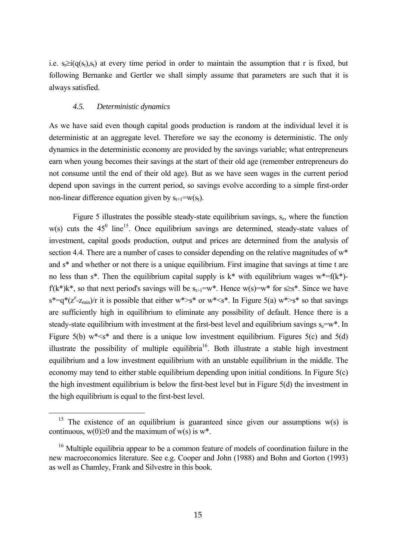i.e. s $\geq i(q(s_t),s_t)$  at every time period in order to maintain the assumption that r is fixed, but following Bernanke and Gertler we shall simply assume that parameters are such that it is always satisfied.

#### *4.5. Deterministic dynamics*

 $\overline{a}$ 

As we have said even though capital goods production is random at the individual level it is deterministic at an aggregate level. Therefore we say the economy is deterministic. The only dynamics in the deterministic economy are provided by the savings variable; what entrepreneurs earn when young becomes their savings at the start of their old age (remember entrepreneurs do not consume until the end of their old age). But as we have seen wages in the current period depend upon savings in the current period, so savings evolve according to a simple first-order non-linear difference equation given by  $s_{t+1} = w(s_t)$ .

Figure 5 illustrates the possible steady-state equilibrium savings, s<sub>e</sub>, where the function  $w(s)$  cuts the 45<sup>0</sup> line<sup>15</sup>. Once equilibrium savings are determined, steady-state values of investment, capital goods production, output and prices are determined from the analysis of section 4.4. There are a number of cases to consider depending on the relative magnitudes of  $w^*$ and s\* and whether or not there is a unique equilibrium. First imagine that savings at time t are no less than s<sup>\*</sup>. Then the equilibrium capital supply is  $k^*$  with equilibrium wages w<sup>\*</sup>=f(k<sup>\*</sup>)f'(k\*)k\*, so that next period's savings will be  $s_{t+1}=w^*$ . Hence w(s)=w\* for s≥s\*. Since we have  $s^*=q^*(z^e-z_{min})/r$  it is possible that either  $w^*>s^*$  or  $w^*>s^*$ . In Figure 5(a)  $w^*>s^*$  so that savings are sufficiently high in equilibrium to eliminate any possibility of default. Hence there is a steady-state equilibrium with investment at the first-best level and equilibrium savings  $s_e=w^*$ . In Figure 5(b)  $w^* \le s^*$  and there is a unique low investment equilibrium. Figures 5(c) and 5(d) illustrate the possibility of multiple equilibria<sup>16</sup>. Both illustrate a stable high investment equilibrium and a low investment equilibrium with an unstable equilibrium in the middle. The economy may tend to either stable equilibrium depending upon initial conditions. In Figure 5(c) the high investment equilibrium is below the first-best level but in Figure 5(d) the investment in the high equilibrium is equal to the first-best level.

<sup>&</sup>lt;sup>15</sup> The existence of an equilibrium is guaranteed since given our assumptions  $w(s)$  is continuous,  $w(0) \ge 0$  and the maximum of  $w(s)$  is  $w^*$ .

 $16$  Multiple equilibria appear to be a common feature of models of coordination failure in the new macroeconomics literature. See e.g. Cooper and John (1988) and Bohn and Gorton (1993) as well as Chamley, Frank and Silvestre in this book.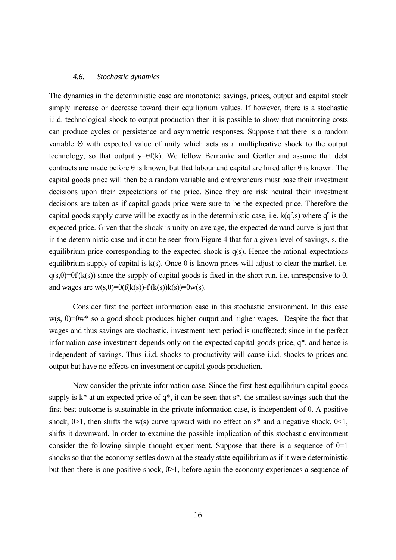#### *4.6. Stochastic dynamics*

The dynamics in the deterministic case are monotonic: savings, prices, output and capital stock simply increase or decrease toward their equilibrium values. If however, there is a stochastic i.i.d. technological shock to output production then it is possible to show that monitoring costs can produce cycles or persistence and asymmetric responses. Suppose that there is a random variable Θ with expected value of unity which acts as a multiplicative shock to the output technology, so that output y=θf(k). We follow Bernanke and Gertler and assume that debt contracts are made before θ is known, but that labour and capital are hired after θ is known. The capital goods price will then be a random variable and entrepreneurs must base their investment decisions upon their expectations of the price. Since they are risk neutral their investment decisions are taken as if capital goods price were sure to be the expected price. Therefore the capital goods supply curve will be exactly as in the deterministic case, i.e.  $k(q^e,s)$  where  $q^e$  is the expected price. Given that the shock is unity on average, the expected demand curve is just that in the deterministic case and it can be seen from Figure 4 that for a given level of savings, s, the equilibrium price corresponding to the expected shock is q(s). Hence the rational expectations equilibrium supply of capital is  $k(s)$ . Once  $\theta$  is known prices will adjust to clear the market, i.e. q(s, $\theta$ )= $\theta$ f'(k(s)) since the supply of capital goods is fixed in the short-run, i.e. unresponsive to  $\theta$ , and wages are w(s, $\theta$ )= $\theta(f(k(s))$ - $f(k(s))k(s)$ )= $\theta$ w(s).

 Consider first the perfect information case in this stochastic environment. In this case w(s, θ)=θw\* so a good shock produces higher output and higher wages. Despite the fact that wages and thus savings are stochastic, investment next period is unaffected; since in the perfect information case investment depends only on the expected capital goods price, q\*, and hence is independent of savings. Thus i.i.d. shocks to productivity will cause i.i.d. shocks to prices and output but have no effects on investment or capital goods production.

 Now consider the private information case. Since the first-best equilibrium capital goods supply is  $k^*$  at an expected price of  $q^*$ , it can be seen that  $s^*$ , the smallest savings such that the first-best outcome is sustainable in the private information case, is independent of θ. A positive shock,  $\theta > 1$ , then shifts the w(s) curve upward with no effect on s<sup>\*</sup> and a negative shock,  $\theta < 1$ , shifts it downward. In order to examine the possible implication of this stochastic environment consider the following simple thought experiment. Suppose that there is a sequence of  $\theta$ =1 shocks so that the economy settles down at the steady state equilibrium as if it were deterministic but then there is one positive shock,  $\theta > 1$ , before again the economy experiences a sequence of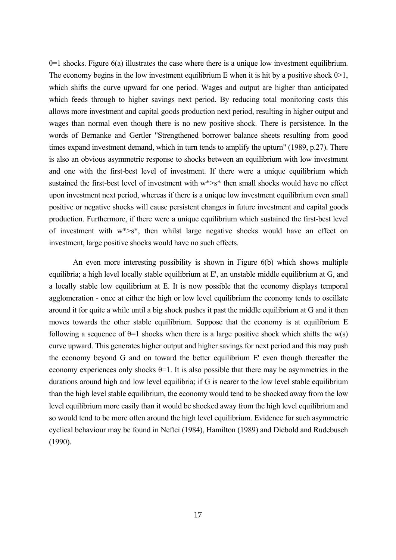$\theta$ =1 shocks. Figure 6(a) illustrates the case where there is a unique low investment equilibrium. The economy begins in the low investment equilibrium E when it is hit by a positive shock  $\theta > 1$ , which shifts the curve upward for one period. Wages and output are higher than anticipated which feeds through to higher savings next period. By reducing total monitoring costs this allows more investment and capital goods production next period, resulting in higher output and wages than normal even though there is no new positive shock. There is persistence. In the words of Bernanke and Gertler "Strengthened borrower balance sheets resulting from good times expand investment demand, which in turn tends to amplify the upturn" (1989, p.27). There is also an obvious asymmetric response to shocks between an equilibrium with low investment and one with the first-best level of investment. If there were a unique equilibrium which sustained the first-best level of investment with  $w^*$ >s<sup>\*</sup> then small shocks would have no effect upon investment next period, whereas if there is a unique low investment equilibrium even small positive or negative shocks will cause persistent changes in future investment and capital goods production. Furthermore, if there were a unique equilibrium which sustained the first-best level of investment with  $w^* > s^*$ , then whilst large negative shocks would have an effect on investment, large positive shocks would have no such effects.

 An even more interesting possibility is shown in Figure 6(b) which shows multiple equilibria; a high level locally stable equilibrium at E', an unstable middle equilibrium at G, and a locally stable low equilibrium at E. It is now possible that the economy displays temporal agglomeration - once at either the high or low level equilibrium the economy tends to oscillate around it for quite a while until a big shock pushes it past the middle equilibrium at G and it then moves towards the other stable equilibrium. Suppose that the economy is at equilibrium E following a sequence of  $\theta$ =1 shocks when there is a large positive shock which shifts the w(s) curve upward. This generates higher output and higher savings for next period and this may push the economy beyond G and on toward the better equilibrium E' even though thereafter the economy experiences only shocks  $\theta$ =1. It is also possible that there may be asymmetries in the durations around high and low level equilibria; if G is nearer to the low level stable equilibrium than the high level stable equilibrium, the economy would tend to be shocked away from the low level equilibrium more easily than it would be shocked away from the high level equilibrium and so would tend to be more often around the high level equilibrium. Evidence for such asymmetric cyclical behaviour may be found in Neftci (1984), Hamilton (1989) and Diebold and Rudebusch (1990).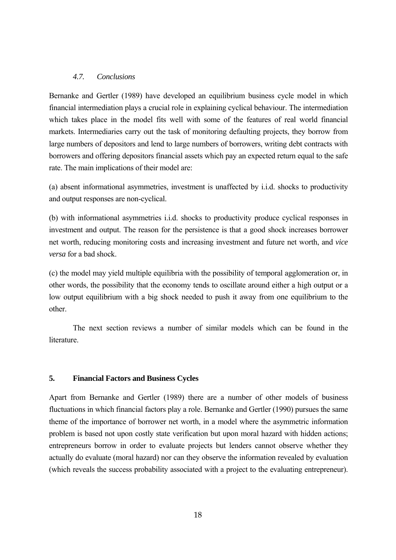# *4.7. Conclusions*

Bernanke and Gertler (1989) have developed an equilibrium business cycle model in which financial intermediation plays a crucial role in explaining cyclical behaviour. The intermediation which takes place in the model fits well with some of the features of real world financial markets. Intermediaries carry out the task of monitoring defaulting projects, they borrow from large numbers of depositors and lend to large numbers of borrowers, writing debt contracts with borrowers and offering depositors financial assets which pay an expected return equal to the safe rate. The main implications of their model are:

(a) absent informational asymmetries, investment is unaffected by i.i.d. shocks to productivity and output responses are non-cyclical.

(b) with informational asymmetries i.i.d. shocks to productivity produce cyclical responses in investment and output. The reason for the persistence is that a good shock increases borrower net worth, reducing monitoring costs and increasing investment and future net worth, and *vice versa* for a bad shock.

(c) the model may yield multiple equilibria with the possibility of temporal agglomeration or, in other words, the possibility that the economy tends to oscillate around either a high output or a low output equilibrium with a big shock needed to push it away from one equilibrium to the other.

 The next section reviews a number of similar models which can be found in the **literature** 

# **5. Financial Factors and Business Cycles**

Apart from Bernanke and Gertler (1989) there are a number of other models of business fluctuations in which financial factors play a role. Bernanke and Gertler (1990) pursues the same theme of the importance of borrower net worth, in a model where the asymmetric information problem is based not upon costly state verification but upon moral hazard with hidden actions; entrepreneurs borrow in order to evaluate projects but lenders cannot observe whether they actually do evaluate (moral hazard) nor can they observe the information revealed by evaluation (which reveals the success probability associated with a project to the evaluating entrepreneur).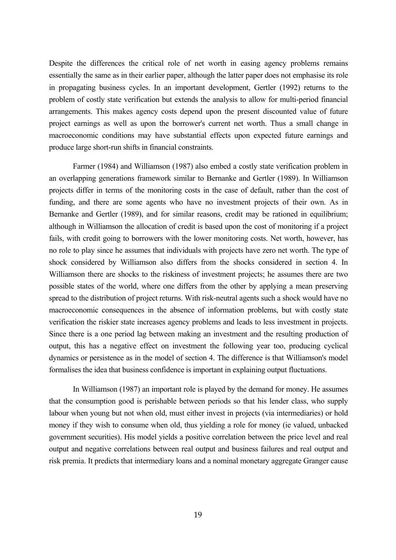Despite the differences the critical role of net worth in easing agency problems remains essentially the same as in their earlier paper, although the latter paper does not emphasise its role in propagating business cycles. In an important development, Gertler (1992) returns to the problem of costly state verification but extends the analysis to allow for multi-period financial arrangements. This makes agency costs depend upon the present discounted value of future project earnings as well as upon the borrower's current net worth. Thus a small change in macroeconomic conditions may have substantial effects upon expected future earnings and produce large short-run shifts in financial constraints.

 Farmer (1984) and Williamson (1987) also embed a costly state verification problem in an overlapping generations framework similar to Bernanke and Gertler (1989). In Williamson projects differ in terms of the monitoring costs in the case of default, rather than the cost of funding, and there are some agents who have no investment projects of their own. As in Bernanke and Gertler (1989), and for similar reasons, credit may be rationed in equilibrium; although in Williamson the allocation of credit is based upon the cost of monitoring if a project fails, with credit going to borrowers with the lower monitoring costs. Net worth, however, has no role to play since he assumes that individuals with projects have zero net worth. The type of shock considered by Williamson also differs from the shocks considered in section 4. In Williamson there are shocks to the riskiness of investment projects; he assumes there are two possible states of the world, where one differs from the other by applying a mean preserving spread to the distribution of project returns. With risk-neutral agents such a shock would have no macroeconomic consequences in the absence of information problems, but with costly state verification the riskier state increases agency problems and leads to less investment in projects. Since there is a one period lag between making an investment and the resulting production of output, this has a negative effect on investment the following year too, producing cyclical dynamics or persistence as in the model of section 4. The difference is that Williamson's model formalises the idea that business confidence is important in explaining output fluctuations.

 In Williamson (1987) an important role is played by the demand for money. He assumes that the consumption good is perishable between periods so that his lender class, who supply labour when young but not when old, must either invest in projects (via intermediaries) or hold money if they wish to consume when old, thus yielding a role for money (ie valued, unbacked government securities). His model yields a positive correlation between the price level and real output and negative correlations between real output and business failures and real output and risk premia. It predicts that intermediary loans and a nominal monetary aggregate Granger cause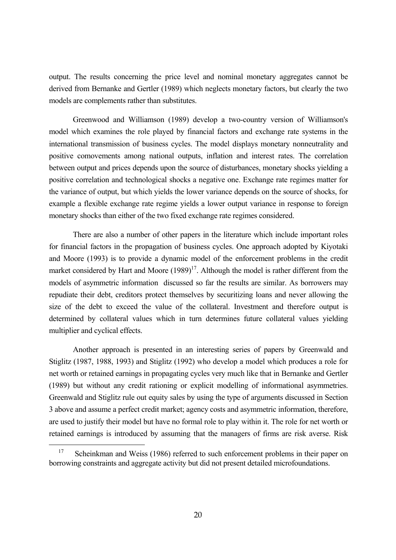output. The results concerning the price level and nominal monetary aggregates cannot be derived from Bernanke and Gertler (1989) which neglects monetary factors, but clearly the two models are complements rather than substitutes.

 Greenwood and Williamson (1989) develop a two-country version of Williamson's model which examines the role played by financial factors and exchange rate systems in the international transmission of business cycles. The model displays monetary nonneutrality and positive comovements among national outputs, inflation and interest rates. The correlation between output and prices depends upon the source of disturbances, monetary shocks yielding a positive correlation and technological shocks a negative one. Exchange rate regimes matter for the variance of output, but which yields the lower variance depends on the source of shocks, for example a flexible exchange rate regime yields a lower output variance in response to foreign monetary shocks than either of the two fixed exchange rate regimes considered.

 There are also a number of other papers in the literature which include important roles for financial factors in the propagation of business cycles. One approach adopted by Kiyotaki and Moore (1993) is to provide a dynamic model of the enforcement problems in the credit market considered by Hart and Moore  $(1989)^{17}$ . Although the model is rather different from the models of asymmetric information discussed so far the results are similar. As borrowers may repudiate their debt, creditors protect themselves by securitizing loans and never allowing the size of the debt to exceed the value of the collateral. Investment and therefore output is determined by collateral values which in turn determines future collateral values yielding multiplier and cyclical effects.

 Another approach is presented in an interesting series of papers by Greenwald and Stiglitz (1987, 1988, 1993) and Stiglitz (1992) who develop a model which produces a role for net worth or retained earnings in propagating cycles very much like that in Bernanke and Gertler (1989) but without any credit rationing or explicit modelling of informational asymmetries. Greenwald and Stiglitz rule out equity sales by using the type of arguments discussed in Section 3 above and assume a perfect credit market; agency costs and asymmetric information, therefore, are used to justify their model but have no formal role to play within it. The role for net worth or retained earnings is introduced by assuming that the managers of firms are risk averse. Risk

 $\overline{a}$ 

<sup>&</sup>lt;sup>17</sup> Scheinkman and Weiss (1986) referred to such enforcement problems in their paper on borrowing constraints and aggregate activity but did not present detailed microfoundations.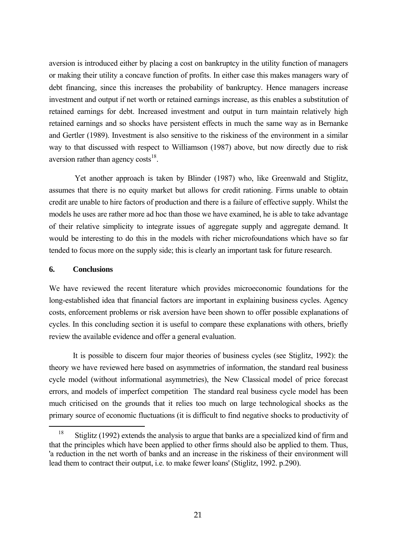aversion is introduced either by placing a cost on bankruptcy in the utility function of managers or making their utility a concave function of profits. In either case this makes managers wary of debt financing, since this increases the probability of bankruptcy. Hence managers increase investment and output if net worth or retained earnings increase, as this enables a substitution of retained earnings for debt. Increased investment and output in turn maintain relatively high retained earnings and so shocks have persistent effects in much the same way as in Bernanke and Gertler (1989). Investment is also sensitive to the riskiness of the environment in a similar way to that discussed with respect to Williamson (1987) above, but now directly due to risk aversion rather than agency costs<sup>18</sup>.

 Yet another approach is taken by Blinder (1987) who, like Greenwald and Stiglitz, assumes that there is no equity market but allows for credit rationing. Firms unable to obtain credit are unable to hire factors of production and there is a failure of effective supply. Whilst the models he uses are rather more ad hoc than those we have examined, he is able to take advantage of their relative simplicity to integrate issues of aggregate supply and aggregate demand. It would be interesting to do this in the models with richer microfoundations which have so far tended to focus more on the supply side; this is clearly an important task for future research.

# **6. Conclusions**

 $\overline{a}$ 

We have reviewed the recent literature which provides microeconomic foundations for the long-established idea that financial factors are important in explaining business cycles. Agency costs, enforcement problems or risk aversion have been shown to offer possible explanations of cycles. In this concluding section it is useful to compare these explanations with others, briefly review the available evidence and offer a general evaluation.

 It is possible to discern four major theories of business cycles (see Stiglitz, 1992): the theory we have reviewed here based on asymmetries of information, the standard real business cycle model (without informational asymmetries), the New Classical model of price forecast errors, and models of imperfect competition The standard real business cycle model has been much criticised on the grounds that it relies too much on large technological shocks as the primary source of economic fluctuations (it is difficult to find negative shocks to productivity of

<sup>&</sup>lt;sup>18</sup> Stiglitz (1992) extends the analysis to argue that banks are a specialized kind of firm and that the principles which have been applied to other firms should also be applied to them. Thus, 'a reduction in the net worth of banks and an increase in the riskiness of their environment will lead them to contract their output, i.e. to make fewer loans' (Stiglitz, 1992. p.290).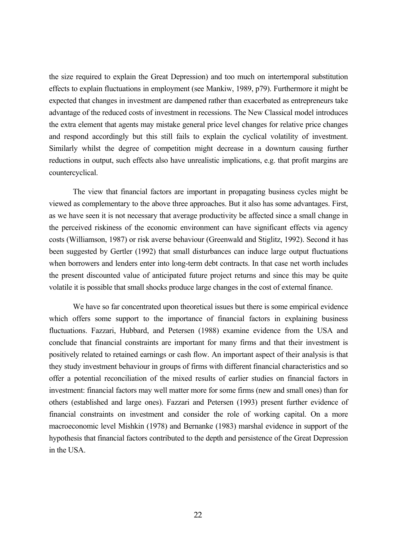the size required to explain the Great Depression) and too much on intertemporal substitution effects to explain fluctuations in employment (see Mankiw, 1989, p79). Furthermore it might be expected that changes in investment are dampened rather than exacerbated as entrepreneurs take advantage of the reduced costs of investment in recessions. The New Classical model introduces the extra element that agents may mistake general price level changes for relative price changes and respond accordingly but this still fails to explain the cyclical volatility of investment. Similarly whilst the degree of competition might decrease in a downturn causing further reductions in output, such effects also have unrealistic implications, e.g. that profit margins are countercyclical.

 The view that financial factors are important in propagating business cycles might be viewed as complementary to the above three approaches. But it also has some advantages. First, as we have seen it is not necessary that average productivity be affected since a small change in the perceived riskiness of the economic environment can have significant effects via agency costs (Williamson, 1987) or risk averse behaviour (Greenwald and Stiglitz, 1992). Second it has been suggested by Gertler (1992) that small disturbances can induce large output fluctuations when borrowers and lenders enter into long-term debt contracts. In that case net worth includes the present discounted value of anticipated future project returns and since this may be quite volatile it is possible that small shocks produce large changes in the cost of external finance.

 We have so far concentrated upon theoretical issues but there is some empirical evidence which offers some support to the importance of financial factors in explaining business fluctuations. Fazzari, Hubbard, and Petersen (1988) examine evidence from the USA and conclude that financial constraints are important for many firms and that their investment is positively related to retained earnings or cash flow. An important aspect of their analysis is that they study investment behaviour in groups of firms with different financial characteristics and so offer a potential reconciliation of the mixed results of earlier studies on financial factors in investment: financial factors may well matter more for some firms (new and small ones) than for others (established and large ones). Fazzari and Petersen (1993) present further evidence of financial constraints on investment and consider the role of working capital. On a more macroeconomic level Mishkin (1978) and Bernanke (1983) marshal evidence in support of the hypothesis that financial factors contributed to the depth and persistence of the Great Depression in the USA.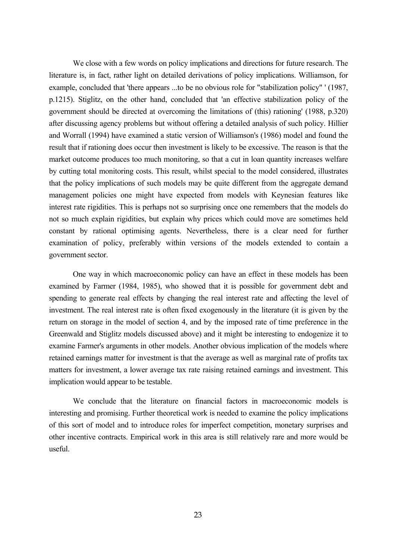We close with a few words on policy implications and directions for future research. The literature is, in fact, rather light on detailed derivations of policy implications. Williamson, for example, concluded that 'there appears ...to be no obvious role for "stabilization policy" ' (1987, p.1215). Stiglitz, on the other hand, concluded that 'an effective stabilization policy of the government should be directed at overcoming the limitations of (this) rationing' (1988, p.320) after discussing agency problems but without offering a detailed analysis of such policy. Hillier and Worrall (1994) have examined a static version of Williamson's (1986) model and found the result that if rationing does occur then investment is likely to be excessive. The reason is that the market outcome produces too much monitoring, so that a cut in loan quantity increases welfare by cutting total monitoring costs. This result, whilst special to the model considered, illustrates that the policy implications of such models may be quite different from the aggregate demand management policies one might have expected from models with Keynesian features like interest rate rigidities. This is perhaps not so surprising once one remembers that the models do not so much explain rigidities, but explain why prices which could move are sometimes held constant by rational optimising agents. Nevertheless, there is a clear need for further examination of policy, preferably within versions of the models extended to contain a government sector.

 One way in which macroeconomic policy can have an effect in these models has been examined by Farmer (1984, 1985), who showed that it is possible for government debt and spending to generate real effects by changing the real interest rate and affecting the level of investment. The real interest rate is often fixed exogenously in the literature (it is given by the return on storage in the model of section 4, and by the imposed rate of time preference in the Greenwald and Stiglitz models discussed above) and it might be interesting to endogenize it to examine Farmer's arguments in other models. Another obvious implication of the models where retained earnings matter for investment is that the average as well as marginal rate of profits tax matters for investment, a lower average tax rate raising retained earnings and investment. This implication would appear to be testable.

 We conclude that the literature on financial factors in macroeconomic models is interesting and promising. Further theoretical work is needed to examine the policy implications of this sort of model and to introduce roles for imperfect competition, monetary surprises and other incentive contracts. Empirical work in this area is still relatively rare and more would be useful.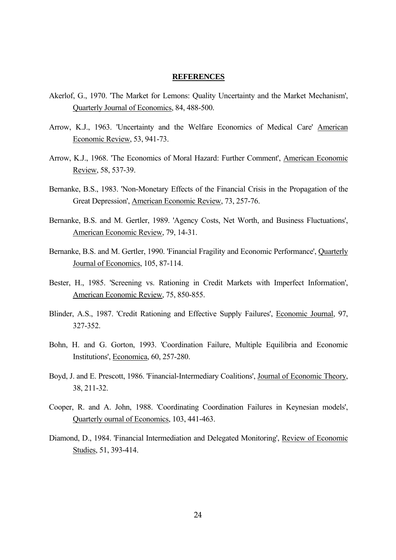#### **REFERENCES**

- Akerlof, G., 1970. 'The Market for Lemons: Quality Uncertainty and the Market Mechanism', Quarterly Journal of Economics, 84, 488-500.
- Arrow, K.J., 1963. 'Uncertainty and the Welfare Economics of Medical Care' American Economic Review, 53, 941-73.
- Arrow, K.J., 1968. 'The Economics of Moral Hazard: Further Comment', American Economic Review, 58, 537-39.
- Bernanke, B.S., 1983. 'Non-Monetary Effects of the Financial Crisis in the Propagation of the Great Depression', American Economic Review, 73, 257-76.
- Bernanke, B.S. and M. Gertler, 1989. 'Agency Costs, Net Worth, and Business Fluctuations', American Economic Review, 79, 14-31.
- Bernanke, B.S. and M. Gertler, 1990. 'Financial Fragility and Economic Performance', Quarterly Journal of Economics, 105, 87-114.
- Bester, H., 1985. 'Screening vs. Rationing in Credit Markets with Imperfect Information', American Economic Review, 75, 850-855.
- Blinder, A.S., 1987. 'Credit Rationing and Effective Supply Failures', Economic Journal, 97, 327-352.
- Bohn, H. and G. Gorton, 1993. 'Coordination Failure, Multiple Equilibria and Economic Institutions', Economica, 60, 257-280.
- Boyd, J. and E. Prescott, 1986. 'Financial-Intermediary Coalitions', Journal of Economic Theory, 38, 211-32.
- Cooper, R. and A. John, 1988. 'Coordinating Coordination Failures in Keynesian models', Quarterly ournal of Economics, 103, 441-463.
- Diamond, D., 1984. 'Financial Intermediation and Delegated Monitoring', Review of Economic Studies, 51, 393-414.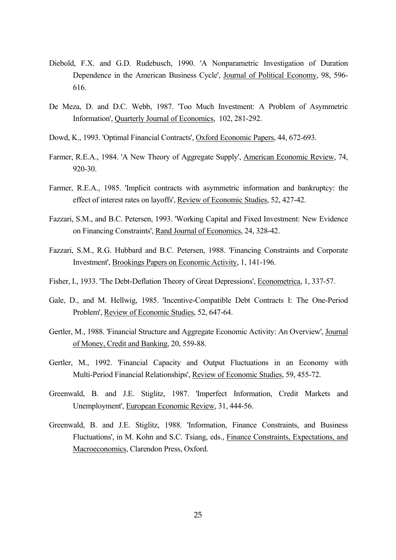- Diebold, F.X. and G.D. Rudebusch, 1990. 'A Nonparametric Investigation of Duration Dependence in the American Business Cycle', Journal of Political Economy, 98, 596- 616.
- De Meza, D. and D.C. Webb, 1987. 'Too Much Investment: A Problem of Asymmetric Information', Quarterly Journal of Economics, 102, 281-292.
- Dowd, K., 1993. 'Optimal Financial Contracts', Oxford Economic Papers, 44, 672-693.
- Farmer, R.E.A., 1984. 'A New Theory of Aggregate Supply', American Economic Review, 74, 920-30.
- Farmer, R.E.A., 1985. 'Implicit contracts with asymmetric information and bankruptcy: the effect of interest rates on layoffs', Review of Economic Studies, 52, 427-42.
- Fazzari, S.M., and B.C. Petersen, 1993. 'Working Capital and Fixed Investment: New Evidence on Financing Constraints', Rand Journal of Economics, 24, 328-42.
- Fazzari, S.M., R.G. Hubbard and B.C. Petersen, 1988. 'Financing Constraints and Corporate Investment', Brookings Papers on Economic Activity, 1, 141-196.
- Fisher, I., 1933. 'The Debt-Deflation Theory of Great Depressions', Econometrica, 1, 337-57.
- Gale, D., and M. Hellwig, 1985. 'Incentive-Compatible Debt Contracts I: The One-Period Problem', Review of Economic Studies, 52, 647-64.
- Gertler, M., 1988. 'Financial Structure and Aggregate Economic Activity: An Overview', Journal of Money, Credit and Banking, 20, 559-88.
- Gertler, M., 1992. 'Financial Capacity and Output Fluctuations in an Economy with Multi-Period Financial Relationships', Review of Economic Studies, 59, 455-72.
- Greenwald, B. and J.E. Stiglitz, 1987. 'Imperfect Information, Credit Markets and Unemployment', European Economic Review, 31, 444-56.
- Greenwald, B. and J.E. Stiglitz, 1988. 'Information, Finance Constraints, and Business Fluctuations', in M. Kohn and S.C. Tsiang, eds., Finance Constraints, Expectations, and Macroeconomics, Clarendon Press, Oxford.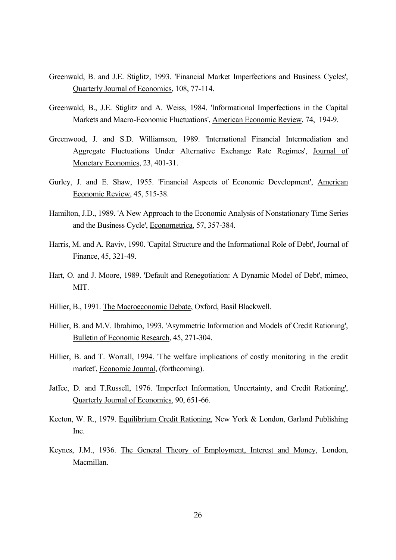- Greenwald, B. and J.E. Stiglitz, 1993. 'Financial Market Imperfections and Business Cycles', Quarterly Journal of Economics, 108, 77-114.
- Greenwald, B., J.E. Stiglitz and A. Weiss, 1984. 'Informational Imperfections in the Capital Markets and Macro-Economic Fluctuations', American Economic Review, 74, 194-9.
- Greenwood, J. and S.D. Williamson, 1989. 'International Financial Intermediation and Aggregate Fluctuations Under Alternative Exchange Rate Regimes', Journal of Monetary Economics, 23, 401-31.
- Gurley, J. and E. Shaw, 1955. 'Financial Aspects of Economic Development', American Economic Review, 45, 515-38.
- Hamilton, J.D., 1989. 'A New Approach to the Economic Analysis of Nonstationary Time Series and the Business Cycle', Econometrica, 57, 357-384.
- Harris, M. and A. Raviv, 1990. 'Capital Structure and the Informational Role of Debt', Journal of Finance, 45, 321-49.
- Hart, O. and J. Moore, 1989. 'Default and Renegotiation: A Dynamic Model of Debt', mimeo, MIT.
- Hillier, B., 1991. The Macroeconomic Debate, Oxford, Basil Blackwell.
- Hillier, B. and M.V. Ibrahimo, 1993. 'Asymmetric Information and Models of Credit Rationing', Bulletin of Economic Research, 45, 271-304.
- Hillier, B. and T. Worrall, 1994. 'The welfare implications of costly monitoring in the credit market', Economic Journal, (forthcoming).
- Jaffee, D. and T.Russell, 1976. 'Imperfect Information, Uncertainty, and Credit Rationing', Quarterly Journal of Economics, 90, 651-66.
- Keeton, W. R., 1979. Equilibrium Credit Rationing, New York & London, Garland Publishing Inc.
- Keynes, J.M., 1936. The General Theory of Employment, Interest and Money, London, Macmillan.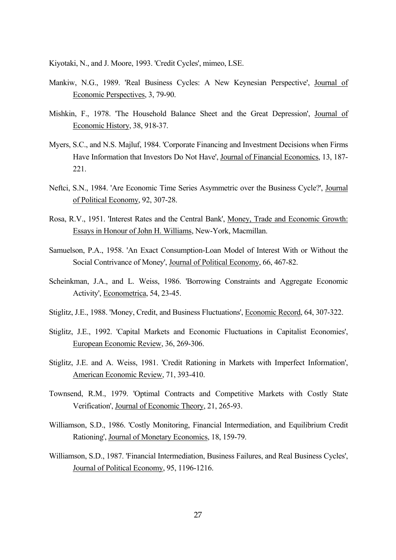Kiyotaki, N., and J. Moore, 1993. 'Credit Cycles', mimeo, LSE.

- Mankiw, N.G., 1989. 'Real Business Cycles: A New Keynesian Perspective', Journal of Economic Perspectives, 3, 79-90.
- Mishkin, F., 1978. 'The Household Balance Sheet and the Great Depression', Journal of Economic History, 38, 918-37.
- Myers, S.C., and N.S. Majluf, 1984. 'Corporate Financing and Investment Decisions when Firms Have Information that Investors Do Not Have', Journal of Financial Economics, 13, 187- 221.
- Neftci, S.N., 1984. 'Are Economic Time Series Asymmetric over the Business Cycle?', Journal of Political Economy, 92, 307-28.
- Rosa, R.V., 1951. 'Interest Rates and the Central Bank', Money, Trade and Economic Growth: Essays in Honour of John H. Williams, New-York, Macmillan.
- Samuelson, P.A., 1958. 'An Exact Consumption-Loan Model of Interest With or Without the Social Contrivance of Money', Journal of Political Economy, 66, 467-82.
- Scheinkman, J.A., and L. Weiss, 1986. 'Borrowing Constraints and Aggregate Economic Activity', Econometrica, 54, 23-45.
- Stiglitz, J.E., 1988. 'Money, Credit, and Business Fluctuations', Economic Record, 64, 307-322.
- Stiglitz, J.E., 1992. 'Capital Markets and Economic Fluctuations in Capitalist Economies', European Economic Review, 36, 269-306.
- Stiglitz, J.E. and A. Weiss, 1981. 'Credit Rationing in Markets with Imperfect Information', American Economic Review, 71, 393-410.
- Townsend, R.M., 1979. 'Optimal Contracts and Competitive Markets with Costly State Verification', Journal of Economic Theory, 21, 265-93.
- Williamson, S.D., 1986. 'Costly Monitoring, Financial Intermediation, and Equilibrium Credit Rationing', Journal of Monetary Economics, 18, 159-79.
- Williamson, S.D., 1987. 'Financial Intermediation, Business Failures, and Real Business Cycles', Journal of Political Economy, 95, 1196-1216.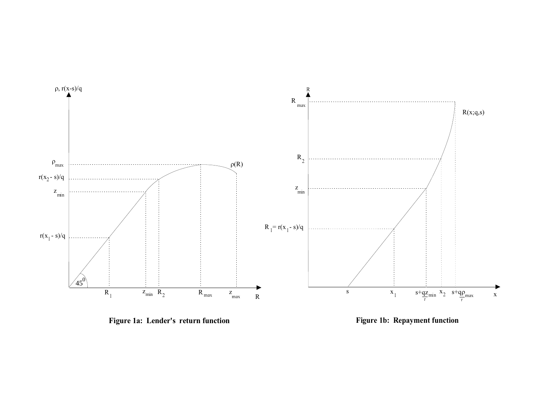

Figure 1a: Lender's return function

Figure 1b: Repayment function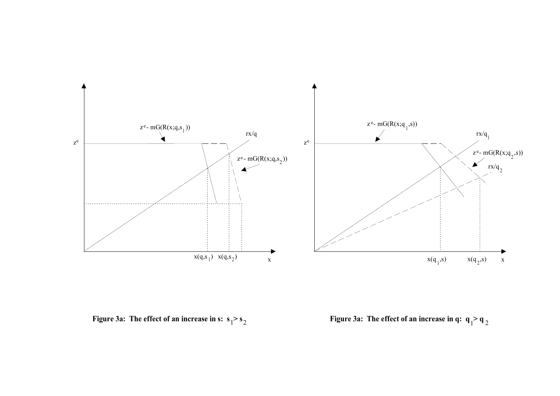

Figure 3a: The effect of an increase in s:  $s_1 > s_2$ 

Figure 3a: The effect of an increase in q:  $q_1$  >  $q_2$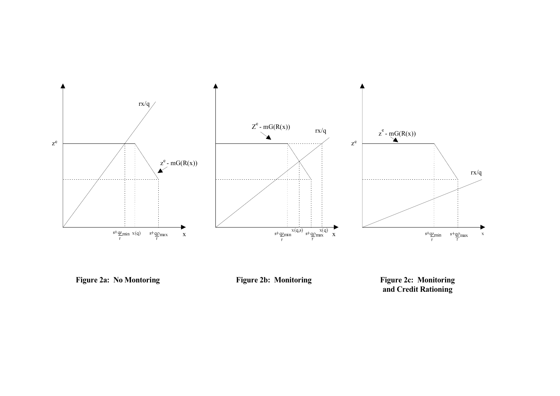

Figure 2a: No Montoring

**Figure 2b: Monitoring** 

**Figure 2c: Monitoring<br>and Credit Rationing**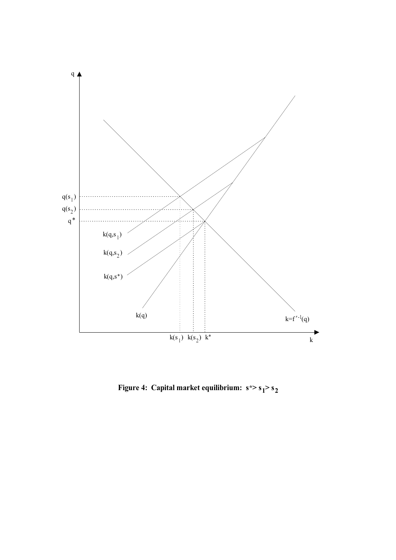

Figure 4: Capital market equilibrium:  $s^* > s_1 > s_2$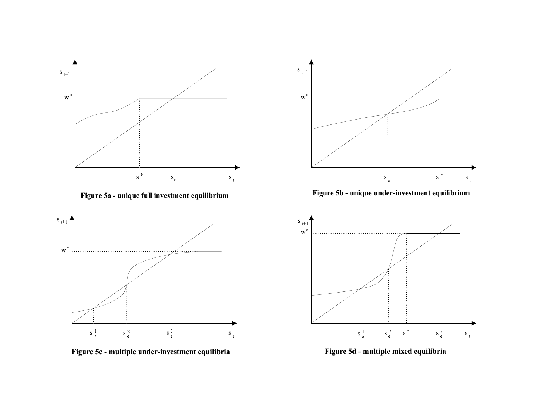![](_page_33_Figure_0.jpeg)

Figure 5a - unique full investment equilibrium

![](_page_33_Figure_2.jpeg)

Figure 5c - multiple under-investment equilibria

![](_page_33_Figure_4.jpeg)

Figure 5b - unique under-investment equilibrium

![](_page_33_Figure_6.jpeg)

Figure 5d - multiple mixed equilibria